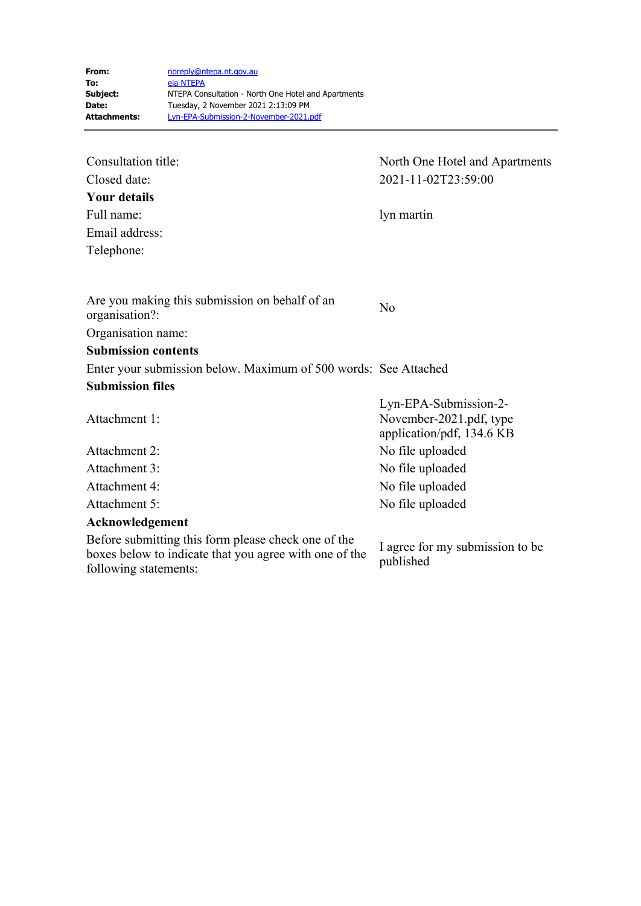| Consultation title:                                                                                                                    | North One Hotel and Apartments                                                |
|----------------------------------------------------------------------------------------------------------------------------------------|-------------------------------------------------------------------------------|
| Closed date:                                                                                                                           | 2021-11-02T23:59:00                                                           |
| <b>Your details</b>                                                                                                                    |                                                                               |
| Full name:                                                                                                                             | lyn martin                                                                    |
| Email address:                                                                                                                         |                                                                               |
| Telephone:                                                                                                                             |                                                                               |
|                                                                                                                                        |                                                                               |
| Are you making this submission on behalf of an<br>organisation?:                                                                       | No                                                                            |
| Organisation name:                                                                                                                     |                                                                               |
| <b>Submission contents</b>                                                                                                             |                                                                               |
| Enter your submission below. Maximum of 500 words: See Attached                                                                        |                                                                               |
| <b>Submission files</b>                                                                                                                |                                                                               |
| Attachment 1:                                                                                                                          | Lyn-EPA-Submission-2-<br>November-2021.pdf, type<br>application/pdf, 134.6 KB |
| Attachment 2:                                                                                                                          | No file uploaded                                                              |
| Attachment 3:                                                                                                                          | No file uploaded                                                              |
| Attachment 4:                                                                                                                          | No file uploaded                                                              |
| Attachment 5:                                                                                                                          | No file uploaded                                                              |
| Acknowledgement                                                                                                                        |                                                                               |
| Before submitting this form please check one of the<br>boxes below to indicate that you agree with one of the<br>following statements: | I agree for my submission to be<br>published                                  |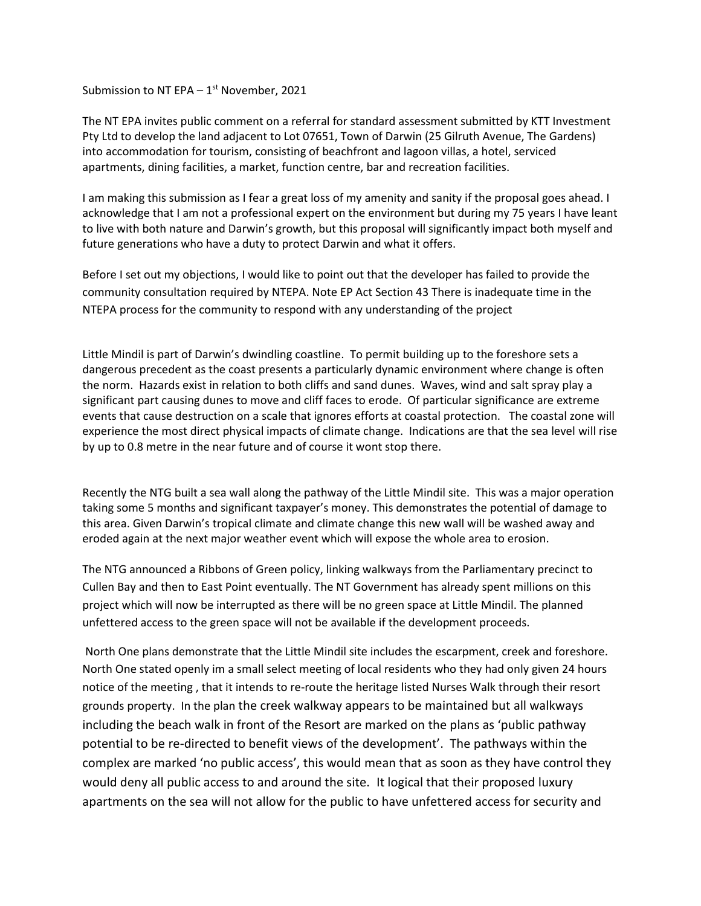Submission to NT EPA –  $1^{\text{st}}$  November, 2021

The NT EPA invites public comment on a referral for standard assessment submitted by KTT Investment Pty Ltd to develop the land adjacent to Lot 07651, Town of Darwin (25 Gilruth Avenue, The Gardens) into accommodation for tourism, consisting of beachfront and lagoon villas, a hotel, serviced apartments, dining facilities, a market, function centre, bar and recreation facilities.

I am making this submission as I fear a great loss of my amenity and sanity if the proposal goes ahead. I acknowledge that I am not a professional expert on the environment but during my 75 years I have leant to live with both nature and Darwin's growth, but this proposal will significantly impact both myself and future generations who have a duty to protect Darwin and what it offers.

Before I set out my objections, I would like to point out that the developer has failed to provide the community consultation required by NTEPA. Note EP Act Section 43 There is inadequate time in the NTEPA process for the community to respond with any understanding of the project

Little Mindil is part of Darwin's dwindling coastline. To permit building up to the foreshore sets a dangerous precedent as the coast presents a particularly dynamic environment where change is often the norm. Hazards exist in relation to both cliffs and sand dunes. Waves, wind and salt spray play a significant part causing dunes to move and cliff faces to erode. Of particular significance are extreme events that cause destruction on a scale that ignores efforts at coastal protection. The coastal zone will experience the most direct physical impacts of climate change. Indications are that the sea level will rise by up to 0.8 metre in the near future and of course it wont stop there.

Recently the NTG built a sea wall along the pathway of the Little Mindil site. This was a major operation taking some 5 months and significant taxpayer's money. This demonstrates the potential of damage to this area. Given Darwin's tropical climate and climate change this new wall will be washed away and eroded again at the next major weather event which will expose the whole area to erosion.

The NTG announced a Ribbons of Green policy, linking walkways from the Parliamentary precinct to Cullen Bay and then to East Point eventually. The NT Government has already spent millions on this project which will now be interrupted as there will be no green space at Little Mindil. The planned unfettered access to the green space will not be available if the development proceeds.

North One plans demonstrate that the Little Mindil site includes the escarpment, creek and foreshore. North One stated openly im a small select meeting of local residents who they had only given 24 hours notice of the meeting , that it intends to re-route the heritage listed Nurses Walk through their resort grounds property. In the plan the creek walkway appears to be maintained but all walkways including the beach walk in front of the Resort are marked on the plans as 'public pathway potential to be re-directed to benefit views of the development'. The pathways within the complex are marked 'no public access', this would mean that as soon as they have control they would deny all public access to and around the site. It logical that their proposed luxury apartments on the sea will not allow for the public to have unfettered access for security and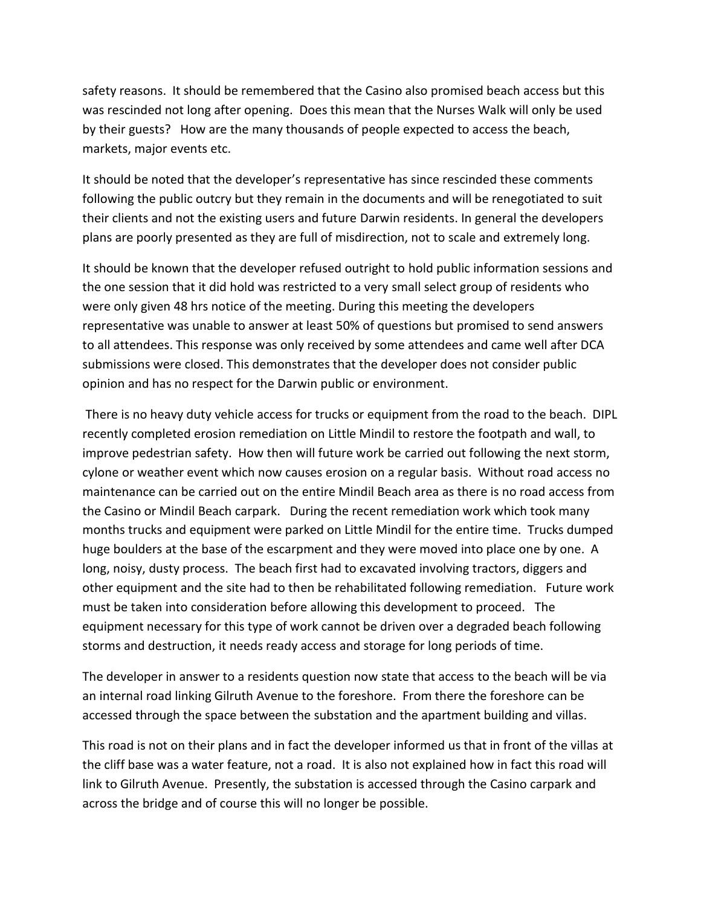safety reasons. It should be remembered that the Casino also promised beach access but this was rescinded not long after opening. Does this mean that the Nurses Walk will only be used by their guests? How are the many thousands of people expected to access the beach, markets, major events etc.

It should be noted that the developer's representative has since rescinded these comments following the public outcry but they remain in the documents and will be renegotiated to suit their clients and not the existing users and future Darwin residents. In general the developers plans are poorly presented as they are full of misdirection, not to scale and extremely long.

It should be known that the developer refused outright to hold public information sessions and the one session that it did hold was restricted to a very small select group of residents who were only given 48 hrs notice of the meeting. During this meeting the developers representative was unable to answer at least 50% of questions but promised to send answers to all attendees. This response was only received by some attendees and came well after DCA submissions were closed. This demonstrates that the developer does not consider public opinion and has no respect for the Darwin public or environment.

There is no heavy duty vehicle access for trucks or equipment from the road to the beach. DIPL recently completed erosion remediation on Little Mindil to restore the footpath and wall, to improve pedestrian safety. How then will future work be carried out following the next storm, cylone or weather event which now causes erosion on a regular basis. Without road access no maintenance can be carried out on the entire Mindil Beach area as there is no road access from the Casino or Mindil Beach carpark. During the recent remediation work which took many months trucks and equipment were parked on Little Mindil for the entire time. Trucks dumped huge boulders at the base of the escarpment and they were moved into place one by one. A long, noisy, dusty process. The beach first had to excavated involving tractors, diggers and other equipment and the site had to then be rehabilitated following remediation. Future work must be taken into consideration before allowing this development to proceed. The equipment necessary for this type of work cannot be driven over a degraded beach following storms and destruction, it needs ready access and storage for long periods of time.

The developer in answer to a residents question now state that access to the beach will be via an internal road linking Gilruth Avenue to the foreshore. From there the foreshore can be accessed through the space between the substation and the apartment building and villas.

This road is not on their plans and in fact the developer informed us that in front of the villas at the cliff base was a water feature, not a road. It is also not explained how in fact this road will link to Gilruth Avenue. Presently, the substation is accessed through the Casino carpark and across the bridge and of course this will no longer be possible.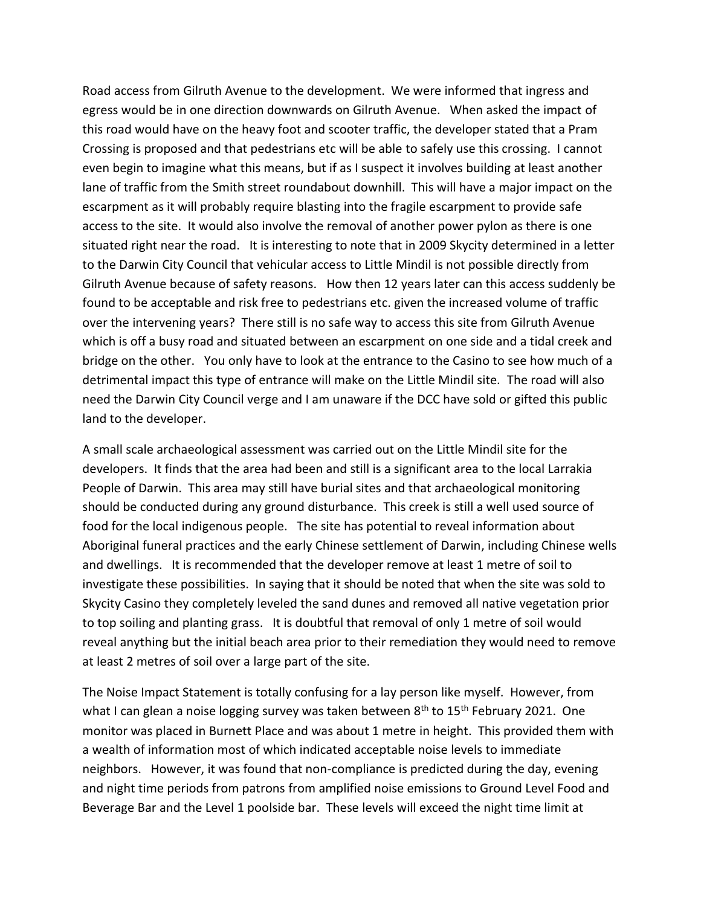Road access from Gilruth Avenue to the development. We were informed that ingress and egress would be in one direction downwards on Gilruth Avenue. When asked the impact of this road would have on the heavy foot and scooter traffic, the developer stated that a Pram Crossing is proposed and that pedestrians etc will be able to safely use this crossing. I cannot even begin to imagine what this means, but if as I suspect it involves building at least another lane of traffic from the Smith street roundabout downhill. This will have a major impact on the escarpment as it will probably require blasting into the fragile escarpment to provide safe access to the site. It would also involve the removal of another power pylon as there is one situated right near the road. It is interesting to note that in 2009 Skycity determined in a letter to the Darwin City Council that vehicular access to Little Mindil is not possible directly from Gilruth Avenue because of safety reasons. How then 12 years later can this access suddenly be found to be acceptable and risk free to pedestrians etc. given the increased volume of traffic over the intervening years? There still is no safe way to access this site from Gilruth Avenue which is off a busy road and situated between an escarpment on one side and a tidal creek and bridge on the other. You only have to look at the entrance to the Casino to see how much of a detrimental impact this type of entrance will make on the Little Mindil site. The road will also need the Darwin City Council verge and I am unaware if the DCC have sold or gifted this public land to the developer.

A small scale archaeological assessment was carried out on the Little Mindil site for the developers. It finds that the area had been and still is a significant area to the local Larrakia People of Darwin. This area may still have burial sites and that archaeological monitoring should be conducted during any ground disturbance. This creek is still a well used source of food for the local indigenous people. The site has potential to reveal information about Aboriginal funeral practices and the early Chinese settlement of Darwin, including Chinese wells and dwellings. It is recommended that the developer remove at least 1 metre of soil to investigate these possibilities. In saying that it should be noted that when the site was sold to Skycity Casino they completely leveled the sand dunes and removed all native vegetation prior to top soiling and planting grass. It is doubtful that removal of only 1 metre of soil would reveal anything but the initial beach area prior to their remediation they would need to remove at least 2 metres of soil over a large part of the site.

The Noise Impact Statement is totally confusing for a lay person like myself. However, from what I can glean a noise logging survey was taken between  $8<sup>th</sup>$  to  $15<sup>th</sup>$  February 2021. One monitor was placed in Burnett Place and was about 1 metre in height. This provided them with a wealth of information most of which indicated acceptable noise levels to immediate neighbors. However, it was found that non-compliance is predicted during the day, evening and night time periods from patrons from amplified noise emissions to Ground Level Food and Beverage Bar and the Level 1 poolside bar. These levels will exceed the night time limit at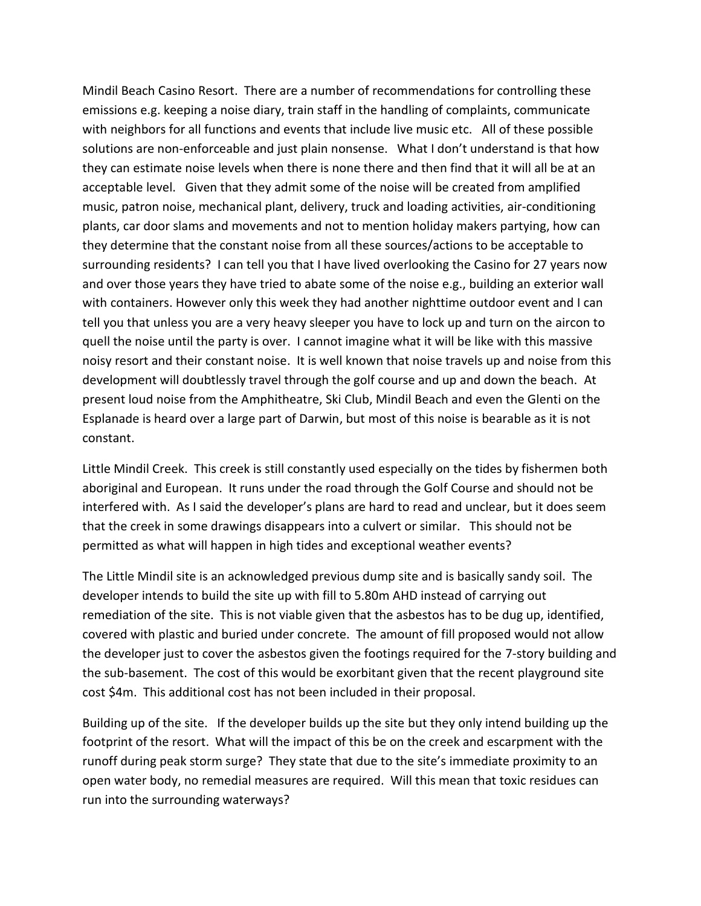Mindil Beach Casino Resort. There are a number of recommendations for controlling these emissions e.g. keeping a noise diary, train staff in the handling of complaints, communicate with neighbors for all functions and events that include live music etc. All of these possible solutions are non-enforceable and just plain nonsense. What I don't understand is that how they can estimate noise levels when there is none there and then find that it will all be at an acceptable level. Given that they admit some of the noise will be created from amplified music, patron noise, mechanical plant, delivery, truck and loading activities, air-conditioning plants, car door slams and movements and not to mention holiday makers partying, how can they determine that the constant noise from all these sources/actions to be acceptable to surrounding residents? I can tell you that I have lived overlooking the Casino for 27 years now and over those years they have tried to abate some of the noise e.g., building an exterior wall with containers. However only this week they had another nighttime outdoor event and I can tell you that unless you are a very heavy sleeper you have to lock up and turn on the aircon to quell the noise until the party is over. I cannot imagine what it will be like with this massive noisy resort and their constant noise. It is well known that noise travels up and noise from this development will doubtlessly travel through the golf course and up and down the beach. At present loud noise from the Amphitheatre, Ski Club, Mindil Beach and even the Glenti on the Esplanade is heard over a large part of Darwin, but most of this noise is bearable as it is not constant.

Little Mindil Creek. This creek is still constantly used especially on the tides by fishermen both aboriginal and European. It runs under the road through the Golf Course and should not be interfered with. As I said the developer's plans are hard to read and unclear, but it does seem that the creek in some drawings disappears into a culvert or similar. This should not be permitted as what will happen in high tides and exceptional weather events?

The Little Mindil site is an acknowledged previous dump site and is basically sandy soil. The developer intends to build the site up with fill to 5.80m AHD instead of carrying out remediation of the site. This is not viable given that the asbestos has to be dug up, identified, covered with plastic and buried under concrete. The amount of fill proposed would not allow the developer just to cover the asbestos given the footings required for the 7-story building and the sub-basement. The cost of this would be exorbitant given that the recent playground site cost \$4m. This additional cost has not been included in their proposal.

Building up of the site. If the developer builds up the site but they only intend building up the footprint of the resort. What will the impact of this be on the creek and escarpment with the runoff during peak storm surge? They state that due to the site's immediate proximity to an open water body, no remedial measures are required. Will this mean that toxic residues can run into the surrounding waterways?